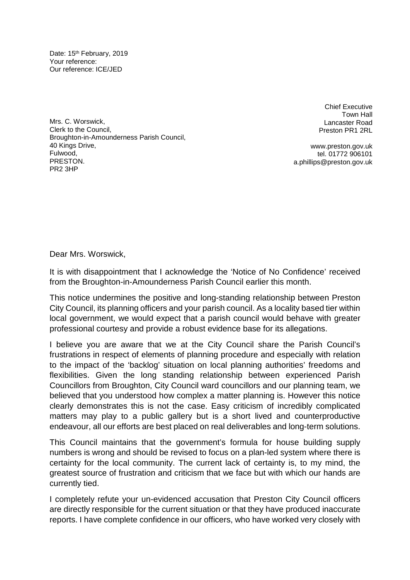Date: 15<sup>th</sup> February, 2019 Your reference: Our reference: ICE/JED

Mrs. C. Worswick, Clerk to the Council, Broughton-in-Amounderness Parish Council, 40 Kings Drive, Fulwood, PRESTON. PR2 3HP

Chief Executive Town Hall Lancaster Road Preston PR1 2RL

www.preston.gov.uk tel. 01772 906101 a.phillips@preston.gov.uk

Dear Mrs. Worswick,

It is with disappointment that I acknowledge the 'Notice of No Confidence' received from the Broughton-in-Amounderness Parish Council earlier this month.

This notice undermines the positive and long-standing relationship between Preston City Council, its planning officers and your parish council. As a locality based tier within local government, we would expect that a parish council would behave with greater professional courtesy and provide a robust evidence base for its allegations.

I believe you are aware that we at the City Council share the Parish Council's frustrations in respect of elements of planning procedure and especially with relation to the impact of the 'backlog' situation on local planning authorities' freedoms and flexibilities. Given the long standing relationship between experienced Parish Councillors from Broughton, City Council ward councillors and our planning team, we believed that you understood how complex a matter planning is. However this notice clearly demonstrates this is not the case. Easy criticism of incredibly complicated matters may play to a public gallery but is a short lived and counterproductive endeavour, all our efforts are best placed on real deliverables and long-term solutions.

This Council maintains that the government's formula for house building supply numbers is wrong and should be revised to focus on a plan-led system where there is certainty for the local community. The current lack of certainty is, to my mind, the greatest source of frustration and criticism that we face but with which our hands are currently tied.

I completely refute your un-evidenced accusation that Preston City Council officers are directly responsible for the current situation or that they have produced inaccurate reports. I have complete confidence in our officers, who have worked very closely with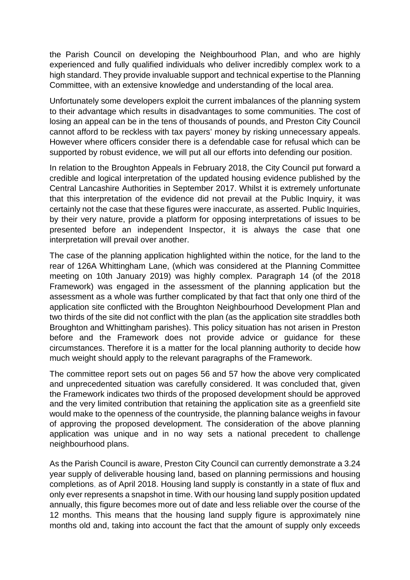the Parish Council on developing the Neighbourhood Plan, and who are highly experienced and fully qualified individuals who deliver incredibly complex work to a high standard. They provide invaluable support and technical expertise to the Planning Committee, with an extensive knowledge and understanding of the local area.

Unfortunately some developers exploit the current imbalances of the planning system to their advantage which results in disadvantages to some communities. The cost of losing an appeal can be in the tens of thousands of pounds, and Preston City Council cannot afford to be reckless with tax payers' money by risking unnecessary appeals. However where officers consider there is a defendable case for refusal which can be supported by robust evidence, we will put all our efforts into defending our position.

In relation to the Broughton Appeals in February 2018, the City Council put forward a credible and logical interpretation of the updated housing evidence published by the Central Lancashire Authorities in September 2017. Whilst it is extremely unfortunate that this interpretation of the evidence did not prevail at the Public Inquiry, it was certainly not the case that these figures were inaccurate, as asserted. Public Inquiries, by their very nature, provide a platform for opposing interpretations of issues to be presented before an independent Inspector, it is always the case that one interpretation will prevail over another.

The case of the planning application highlighted within the notice, for the land to the rear of 126A Whittingham Lane, (which was considered at the Planning Committee meeting on 10th January 2019) was highly complex. Paragraph 14 (of the 2018 Framework) was engaged in the assessment of the planning application but the assessment as a whole was further complicated by that fact that only one third of the application site conflicted with the Broughton Neighbourhood Development Plan and two thirds of the site did not conflict with the plan (as the application site straddles both Broughton and Whittingham parishes). This policy situation has not arisen in Preston before and the Framework does not provide advice or guidance for these circumstances. Therefore it is a matter for the local planning authority to decide how much weight should apply to the relevant paragraphs of the Framework.

The committee report sets out on pages 56 and 57 how the above very complicated and unprecedented situation was carefully considered. It was concluded that, given the Framework indicates two thirds of the proposed development should be approved and the very limited contribution that retaining the application site as a greenfield site would make to the openness of the countryside, the planning balance weighs in favour of approving the proposed development. The consideration of the above planning application was unique and in no way sets a national precedent to challenge neighbourhood plans.

As the Parish Council is aware, Preston City Council can currently demonstrate a 3.24 year supply of deliverable housing land, based on planning permissions and housing completions, as of April 2018. Housing land supply is constantly in a state of flux and only ever represents a snapshot in time. With our housing land supply position updated annually, this figure becomes more out of date and less reliable over the course of the 12 months. This means that the housing land supply figure is approximately nine months old and, taking into account the fact that the amount of supply only exceeds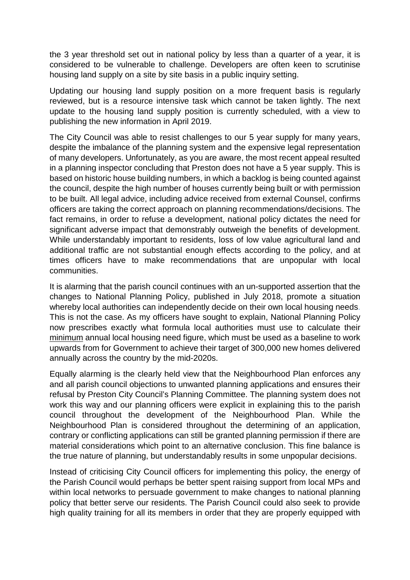the 3 year threshold set out in national policy by less than a quarter of a year, it is considered to be vulnerable to challenge. Developers are often keen to scrutinise housing land supply on a site by site basis in a public inquiry setting.

Updating our housing land supply position on a more frequent basis is regularly reviewed, but is a resource intensive task which cannot be taken lightly. The next update to the housing land supply position is currently scheduled, with a view to publishing the new information in April 2019.

The City Council was able to resist challenges to our 5 year supply for many years, despite the imbalance of the planning system and the expensive legal representation of many developers. Unfortunately, as you are aware, the most recent appeal resulted in a planning inspector concluding that Preston does not have a 5 year supply. This is based on historic house building numbers, in which a backlog is being counted against the council, despite the high number of houses currently being built or with permission to be built. All legal advice, including advice received from external Counsel, confirms officers are taking the correct approach on planning recommendations/decisions. The fact remains, in order to refuse a development, national policy dictates the need for significant adverse impact that demonstrably outweigh the benefits of development. While understandably important to residents, loss of low value agricultural land and additional traffic are not substantial enough effects according to the policy, and at times officers have to make recommendations that are unpopular with local communities.

It is alarming that the parish council continues with an un-supported assertion that the changes to National Planning Policy, published in July 2018, promote a situation whereby local authorities can independently decide on their own local housing needs. This is not the case. As my officers have sought to explain, National Planning Policy now prescribes exactly what formula local authorities must use to calculate their minimum annual local housing need figure, which must be used as a baseline to work upwards from for Government to achieve their target of 300,000 new homes delivered annually across the country by the mid-2020s.

Equally alarming is the clearly held view that the Neighbourhood Plan enforces any and all parish council objections to unwanted planning applications and ensures their refusal by Preston City Council's Planning Committee. The planning system does not work this way and our planning officers were explicit in explaining this to the parish council throughout the development of the Neighbourhood Plan. While the Neighbourhood Plan is considered throughout the determining of an application, contrary or conflicting applications can still be granted planning permission if there are material considerations which point to an alternative conclusion. This fine balance is the true nature of planning, but understandably results in some unpopular decisions.

Instead of criticising City Council officers for implementing this policy, the energy of the Parish Council would perhaps be better spent raising support from local MPs and within local networks to persuade government to make changes to national planning policy that better serve our residents. The Parish Council could also seek to provide high quality training for all its members in order that they are properly equipped with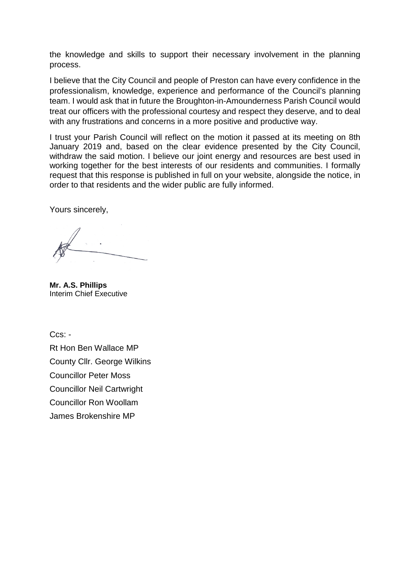the knowledge and skills to support their necessary involvement in the planning process.

I believe that the City Council and people of Preston can have every confidence in the professionalism, knowledge, experience and performance of the Council's planning team. I would ask that in future the Broughton-in-Amounderness Parish Council would treat our officers with the professional courtesy and respect they deserve, and to deal with any frustrations and concerns in a more positive and productive way.

I trust your Parish Council will reflect on the motion it passed at its meeting on 8th January 2019 and, based on the clear evidence presented by the City Council, withdraw the said motion. I believe our joint energy and resources are best used in working together for the best interests of our residents and communities. I formally request that this response is published in full on your website, alongside the notice, in order to that residents and the wider public are fully informed.

Yours sincerely,

**Mr. A.S. Phillips** Interim Chief Executive

Ccs: -

Rt Hon Ben Wallace MP County Cllr. George Wilkins Councillor Peter Moss Councillor Neil Cartwright Councillor Ron Woollam James Brokenshire MP